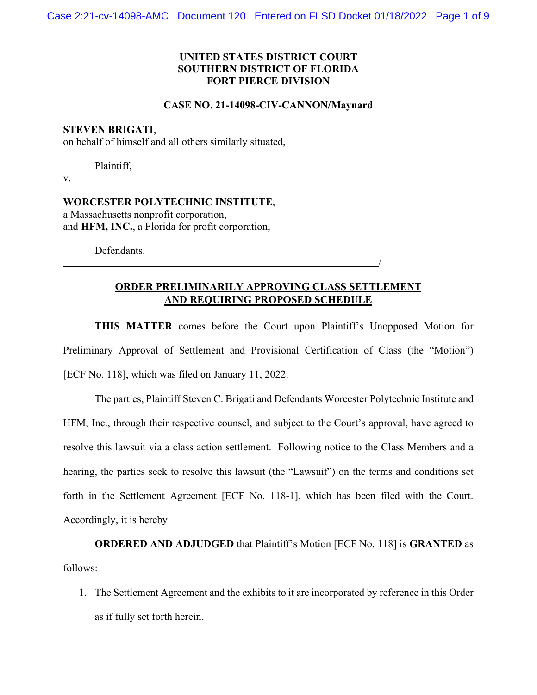## **UNITED STATES DISTRICT COURT SOUTHERN DISTRICT OF FLORIDA FORT PIERCE DIVISION**

#### **CASE NO**. **21-14098-CIV-CANNON/Maynard**

### **STEVEN BRIGATI**,

on behalf of himself and all others similarly situated,

Plaintiff,

v.

**WORCESTER POLYTECHNIC INSTITUTE**, a Massachusetts nonprofit corporation, and **HFM, INC.**, a Florida for profit corporation,

Defendants.

## **ORDER PRELIMINARILY APPROVING CLASS SETTLEMENT AND REQUIRING PROPOSED SCHEDULE**

/

**THIS MATTER** comes before the Court upon Plaintiff's Unopposed Motion for Preliminary Approval of Settlement and Provisional Certification of Class (the "Motion") [ECF No. 118], which was filed on January 11, 2022.

The parties, Plaintiff Steven C. Brigati and Defendants Worcester Polytechnic Institute and HFM, Inc., through their respective counsel, and subject to the Court's approval, have agreed to resolve this lawsuit via a class action settlement. Following notice to the Class Members and a hearing, the parties seek to resolve this lawsuit (the "Lawsuit") on the terms and conditions set forth in the Settlement Agreement [ECF No. 118-1], which has been filed with the Court. Accordingly, it is hereby

**ORDERED AND ADJUDGED** that Plaintiff's Motion [ECF No. 118] is **GRANTED** as follows:

1. The Settlement Agreement and the exhibits to it are incorporated by reference in this Order as if fully set forth herein.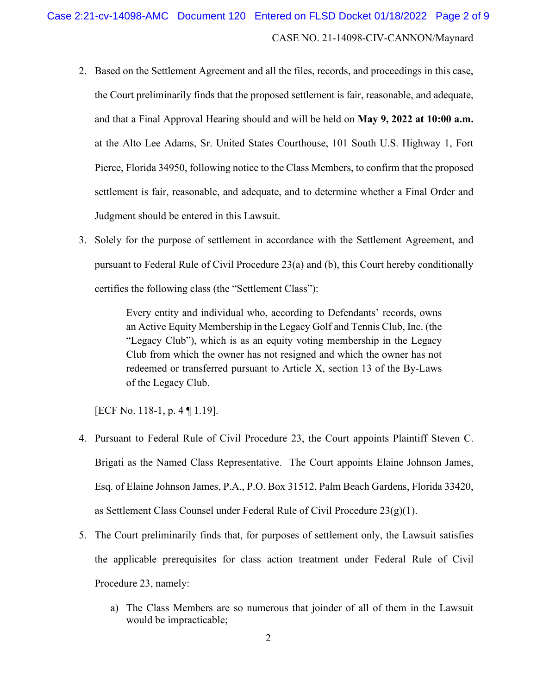- 2. Based on the Settlement Agreement and all the files, records, and proceedings in this case, the Court preliminarily finds that the proposed settlement is fair, reasonable, and adequate, and that a Final Approval Hearing should and will be held on **May 9, 2022 at 10:00 a.m.** at the Alto Lee Adams, Sr. United States Courthouse, 101 South U.S. Highway 1, Fort Pierce, Florida 34950, following notice to the Class Members, to confirm that the proposed settlement is fair, reasonable, and adequate, and to determine whether a Final Order and Judgment should be entered in this Lawsuit.
- 3. Solely for the purpose of settlement in accordance with the Settlement Agreement, and pursuant to Federal Rule of Civil Procedure 23(a) and (b), this Court hereby conditionally certifies the following class (the "Settlement Class"):

Every entity and individual who, according to Defendants' records, owns an Active Equity Membership in the Legacy Golf and Tennis Club, Inc. (the "Legacy Club"), which is as an equity voting membership in the Legacy Club from which the owner has not resigned and which the owner has not redeemed or transferred pursuant to Article X, section 13 of the By-Laws of the Legacy Club.

[ECF No. 118-1, p. 4 ¶ 1.19].

- 4. Pursuant to Federal Rule of Civil Procedure 23, the Court appoints Plaintiff Steven C. Brigati as the Named Class Representative. The Court appoints Elaine Johnson James, Esq. of Elaine Johnson James, P.A., P.O. Box 31512, Palm Beach Gardens, Florida 33420, as Settlement Class Counsel under Federal Rule of Civil Procedure  $23(g)(1)$ .
- 5. The Court preliminarily finds that, for purposes of settlement only, the Lawsuit satisfies the applicable prerequisites for class action treatment under Federal Rule of Civil Procedure 23, namely:
	- a) The Class Members are so numerous that joinder of all of them in the Lawsuit would be impracticable;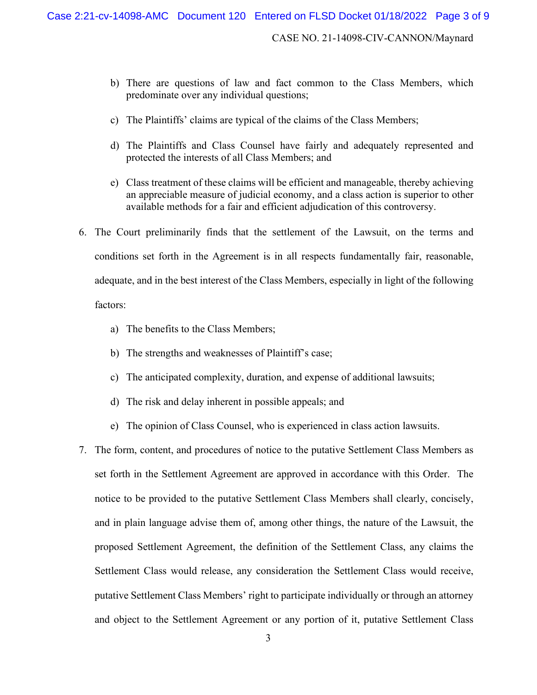- b) There are questions of law and fact common to the Class Members, which predominate over any individual questions;
- c) The Plaintiffs' claims are typical of the claims of the Class Members;
- d) The Plaintiffs and Class Counsel have fairly and adequately represented and protected the interests of all Class Members; and
- e) Class treatment of these claims will be efficient and manageable, thereby achieving an appreciable measure of judicial economy, and a class action is superior to other available methods for a fair and efficient adjudication of this controversy.
- 6. The Court preliminarily finds that the settlement of the Lawsuit, on the terms and conditions set forth in the Agreement is in all respects fundamentally fair, reasonable, adequate, and in the best interest of the Class Members, especially in light of the following factors:

- a) The benefits to the Class Members;
- b) The strengths and weaknesses of Plaintiff's case;
- c) The anticipated complexity, duration, and expense of additional lawsuits;
- d) The risk and delay inherent in possible appeals; and
- e) The opinion of Class Counsel, who is experienced in class action lawsuits.
- 7. The form, content, and procedures of notice to the putative Settlement Class Members as set forth in the Settlement Agreement are approved in accordance with this Order. The notice to be provided to the putative Settlement Class Members shall clearly, concisely, and in plain language advise them of, among other things, the nature of the Lawsuit, the proposed Settlement Agreement, the definition of the Settlement Class, any claims the Settlement Class would release, any consideration the Settlement Class would receive, putative Settlement Class Members' right to participate individually or through an attorney and object to the Settlement Agreement or any portion of it, putative Settlement Class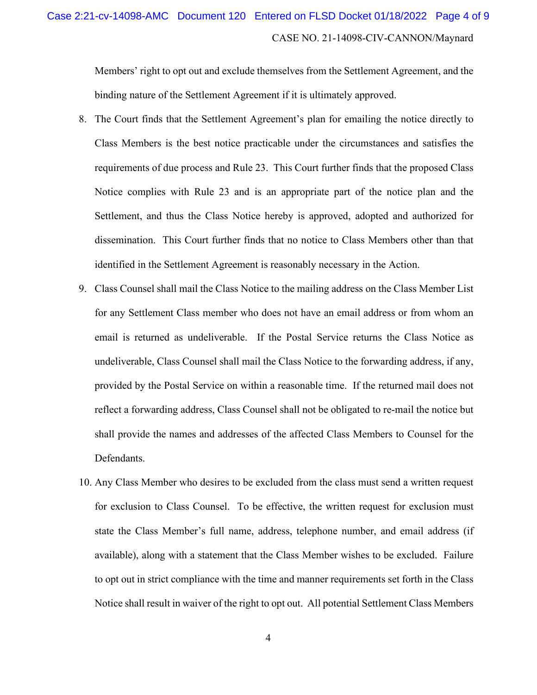## CASE NO. 21-14098-CIV-CANNON/Maynard Case 2:21-cv-14098-AMC Document 120 Entered on FLSD Docket 01/18/2022 Page 4 of 9

Members' right to opt out and exclude themselves from the Settlement Agreement, and the binding nature of the Settlement Agreement if it is ultimately approved.

- 8. The Court finds that the Settlement Agreement's plan for emailing the notice directly to Class Members is the best notice practicable under the circumstances and satisfies the requirements of due process and Rule 23. This Court further finds that the proposed Class Notice complies with Rule 23 and is an appropriate part of the notice plan and the Settlement, and thus the Class Notice hereby is approved, adopted and authorized for dissemination. This Court further finds that no notice to Class Members other than that identified in the Settlement Agreement is reasonably necessary in the Action.
- 9. Class Counsel shall mail the Class Notice to the mailing address on the Class Member List for any Settlement Class member who does not have an email address or from whom an email is returned as undeliverable. If the Postal Service returns the Class Notice as undeliverable, Class Counsel shall mail the Class Notice to the forwarding address, if any, provided by the Postal Service on within a reasonable time. If the returned mail does not reflect a forwarding address, Class Counsel shall not be obligated to re-mail the notice but shall provide the names and addresses of the affected Class Members to Counsel for the Defendants.
- 10. Any Class Member who desires to be excluded from the class must send a written request for exclusion to Class Counsel. To be effective, the written request for exclusion must state the Class Member's full name, address, telephone number, and email address (if available), along with a statement that the Class Member wishes to be excluded. Failure to opt out in strict compliance with the time and manner requirements set forth in the Class Notice shall result in waiver of the right to opt out. All potential Settlement Class Members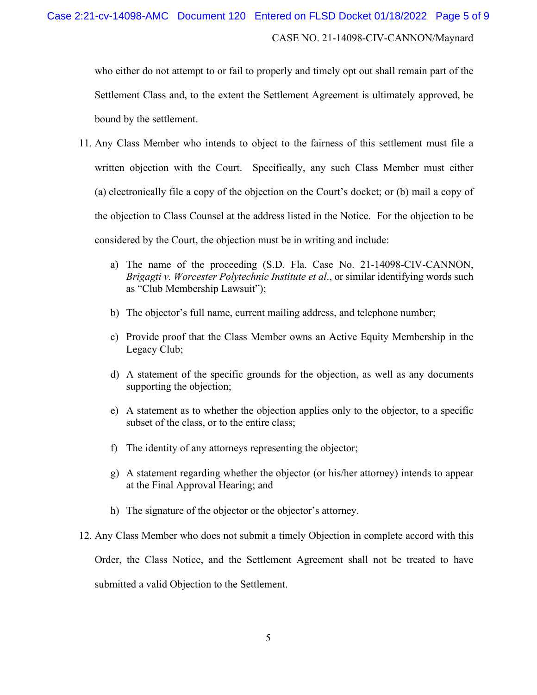who either do not attempt to or fail to properly and timely opt out shall remain part of the Settlement Class and, to the extent the Settlement Agreement is ultimately approved, be bound by the settlement.

- 11. Any Class Member who intends to object to the fairness of this settlement must file a written objection with the Court. Specifically, any such Class Member must either (a) electronically file a copy of the objection on the Court's docket; or (b) mail a copy of the objection to Class Counsel at the address listed in the Notice. For the objection to be considered by the Court, the objection must be in writing and include:
	- a) The name of the proceeding (S.D. Fla. Case No. 21-14098-CIV-CANNON, *Brigagti v. Worcester Polytechnic Institute et al*., or similar identifying words such as "Club Membership Lawsuit");
	- b) The objector's full name, current mailing address, and telephone number;
	- c) Provide proof that the Class Member owns an Active Equity Membership in the Legacy Club;
	- d) A statement of the specific grounds for the objection, as well as any documents supporting the objection;
	- e) A statement as to whether the objection applies only to the objector, to a specific subset of the class, or to the entire class;
	- f) The identity of any attorneys representing the objector;
	- g) A statement regarding whether the objector (or his/her attorney) intends to appear at the Final Approval Hearing; and
	- h) The signature of the objector or the objector's attorney.
- 12. Any Class Member who does not submit a timely Objection in complete accord with this Order, the Class Notice, and the Settlement Agreement shall not be treated to have submitted a valid Objection to the Settlement.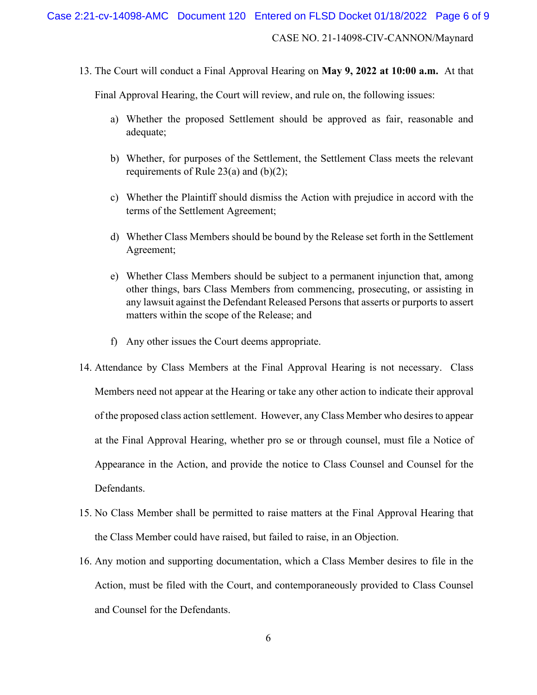CASE NO. 21-14098-CIV-CANNON/Maynard

13. The Court will conduct a Final Approval Hearing on **May 9, 2022 at 10:00 a.m.** At that

Final Approval Hearing, the Court will review, and rule on, the following issues:

- a) Whether the proposed Settlement should be approved as fair, reasonable and adequate;
- b) Whether, for purposes of the Settlement, the Settlement Class meets the relevant requirements of Rule 23(a) and (b)(2);
- c) Whether the Plaintiff should dismiss the Action with prejudice in accord with the terms of the Settlement Agreement;
- d) Whether Class Members should be bound by the Release set forth in the Settlement Agreement;
- e) Whether Class Members should be subject to a permanent injunction that, among other things, bars Class Members from commencing, prosecuting, or assisting in any lawsuit against the Defendant Released Persons that asserts or purports to assert matters within the scope of the Release; and
- f) Any other issues the Court deems appropriate.
- 14. Attendance by Class Members at the Final Approval Hearing is not necessary. Class Members need not appear at the Hearing or take any other action to indicate their approval of the proposed class action settlement. However, any Class Member who desires to appear at the Final Approval Hearing, whether pro se or through counsel, must file a Notice of Appearance in the Action, and provide the notice to Class Counsel and Counsel for the Defendants.
- 15. No Class Member shall be permitted to raise matters at the Final Approval Hearing that the Class Member could have raised, but failed to raise, in an Objection.
- 16. Any motion and supporting documentation, which a Class Member desires to file in the Action, must be filed with the Court, and contemporaneously provided to Class Counsel and Counsel for the Defendants.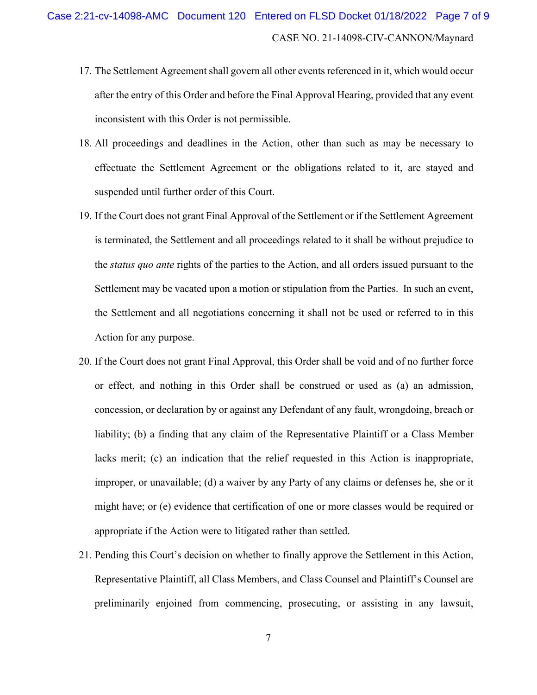- 17. The Settlement Agreement shall govern all other events referenced in it, which would occur after the entry of this Order and before the Final Approval Hearing, provided that any event inconsistent with this Order is not permissible.
- 18. All proceedings and deadlines in the Action, other than such as may be necessary to effectuate the Settlement Agreement or the obligations related to it, are stayed and suspended until further order of this Court.
- 19. If the Court does not grant Final Approval of the Settlement or if the Settlement Agreement is terminated, the Settlement and all proceedings related to it shall be without prejudice to the *status quo ante* rights of the parties to the Action, and all orders issued pursuant to the Settlement may be vacated upon a motion or stipulation from the Parties. In such an event, the Settlement and all negotiations concerning it shall not be used or referred to in this Action for any purpose.
- 20. If the Court does not grant Final Approval, this Order shall be void and of no further force or effect, and nothing in this Order shall be construed or used as (a) an admission, concession, or declaration by or against any Defendant of any fault, wrongdoing, breach or liability; (b) a finding that any claim of the Representative Plaintiff or a Class Member lacks merit; (c) an indication that the relief requested in this Action is inappropriate, improper, or unavailable; (d) a waiver by any Party of any claims or defenses he, she or it might have; or (e) evidence that certification of one or more classes would be required or appropriate if the Action were to litigated rather than settled.
- 21. Pending this Court's decision on whether to finally approve the Settlement in this Action, Representative Plaintiff, all Class Members, and Class Counsel and Plaintiff's Counsel are preliminarily enjoined from commencing, prosecuting, or assisting in any lawsuit,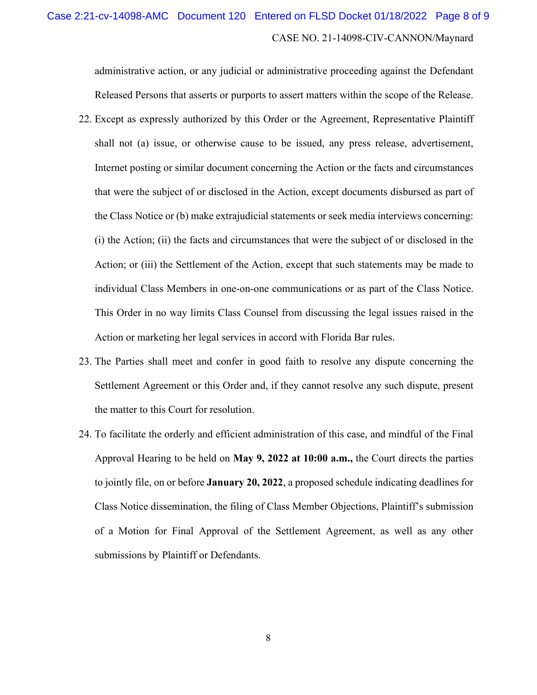# CASE NO. 21-14098-CIV-CANNON/Maynard Case 2:21-cv-14098-AMC Document 120 Entered on FLSD Docket 01/18/2022 Page 8 of 9

administrative action, or any judicial or administrative proceeding against the Defendant Released Persons that asserts or purports to assert matters within the scope of the Release.

- 22. Except as expressly authorized by this Order or the Agreement, Representative Plaintiff shall not (a) issue, or otherwise cause to be issued, any press release, advertisement, Internet posting or similar document concerning the Action or the facts and circumstances that were the subject of or disclosed in the Action, except documents disbursed as part of the Class Notice or (b) make extrajudicial statements or seek media interviews concerning: (i) the Action; (ii) the facts and circumstances that were the subject of or disclosed in the Action; or (iii) the Settlement of the Action, except that such statements may be made to individual Class Members in one-on-one communications or as part of the Class Notice. This Order in no way limits Class Counsel from discussing the legal issues raised in the Action or marketing her legal services in accord with Florida Bar rules.
- 23. The Parties shall meet and confer in good faith to resolve any dispute concerning the Settlement Agreement or this Order and, if they cannot resolve any such dispute, present the matter to this Court for resolution.
- 24. To facilitate the orderly and efficient administration of this case, and mindful of the Final Approval Hearing to be held on **May 9, 2022 at 10:00 a.m.,** the Court directs the parties to jointly file, on or before **January 20, 2022**, a proposed schedule indicating deadlines for Class Notice dissemination, the filing of Class Member Objections, Plaintiff's submission of a Motion for Final Approval of the Settlement Agreement, as well as any other submissions by Plaintiff or Defendants.